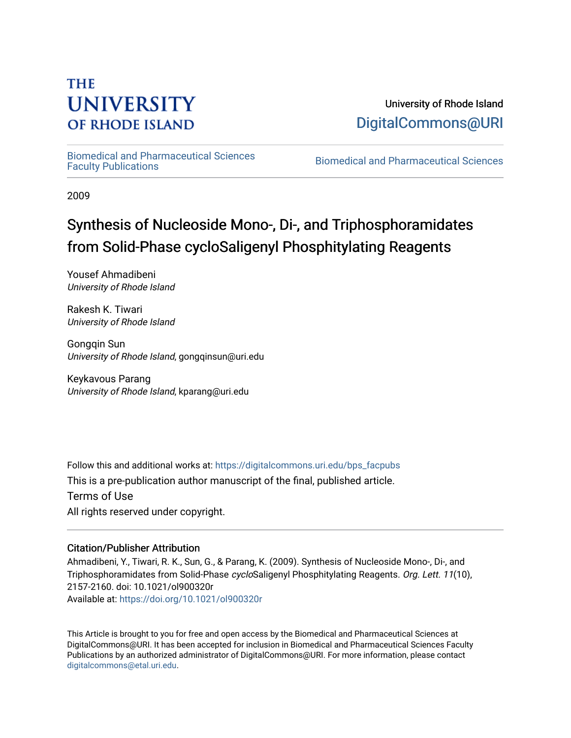# **THE UNIVERSITY OF RHODE ISLAND**

University of Rhode Island [DigitalCommons@URI](https://digitalcommons.uri.edu/) 

[Biomedical and Pharmaceutical Sciences](https://digitalcommons.uri.edu/bps_facpubs) 

Biomedical and Pharmaceutical Sciences

2009

# Synthesis of Nucleoside Mono-, Di-, and Triphosphoramidates from Solid-Phase cycloSaligenyl Phosphitylating Reagents

Yousef Ahmadibeni University of Rhode Island

Rakesh K. Tiwari University of Rhode Island

Gongqin Sun University of Rhode Island, gongqinsun@uri.edu

Keykavous Parang University of Rhode Island, kparang@uri.edu

Follow this and additional works at: [https://digitalcommons.uri.edu/bps\\_facpubs](https://digitalcommons.uri.edu/bps_facpubs?utm_source=digitalcommons.uri.edu%2Fbps_facpubs%2F164&utm_medium=PDF&utm_campaign=PDFCoverPages)

This is a pre-publication author manuscript of the final, published article.

Terms of Use All rights reserved under copyright.

## Citation/Publisher Attribution

Ahmadibeni, Y., Tiwari, R. K., Sun, G., & Parang, K. (2009). Synthesis of Nucleoside Mono-, Di-, and Triphosphoramidates from Solid-Phase cycloSaligenyl Phosphitylating Reagents. Org. Lett. 11(10), 2157-2160. doi: 10.1021/ol900320r Available at:<https://doi.org/10.1021/ol900320r>

This Article is brought to you for free and open access by the Biomedical and Pharmaceutical Sciences at DigitalCommons@URI. It has been accepted for inclusion in Biomedical and Pharmaceutical Sciences Faculty Publications by an authorized administrator of DigitalCommons@URI. For more information, please contact [digitalcommons@etal.uri.edu](mailto:digitalcommons@etal.uri.edu).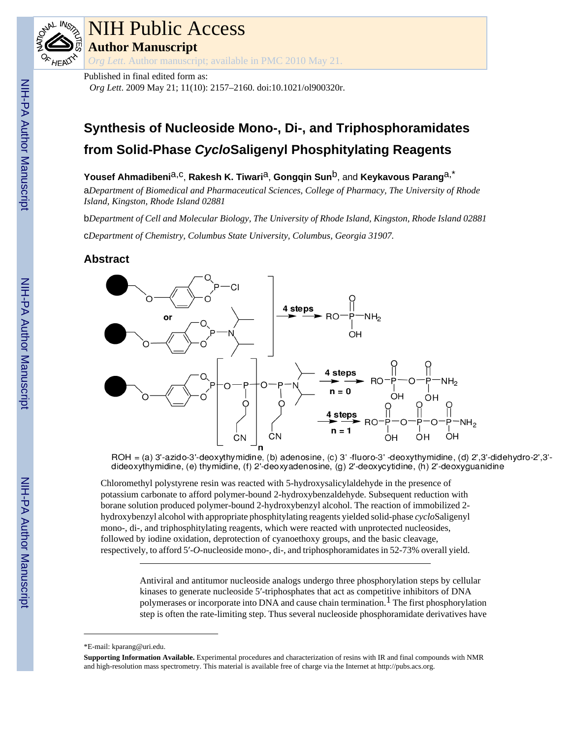

# **I Public Access**

**uthor Manuscript** 

Lett. Author manuscript; available in PMC 2010 May 21.

Published in final edited form as:

*Org Lett*. 2009 May 21; 11(10): 2157–2160. doi:10.1021/ol900320r.

## **Synthesis of Nucleoside Mono-, Di-, and Triphosphoramidates from Solid-Phase** *Cyclo***Saligenyl Phosphitylating Reagents**

Yousef Ahmadibeni<sup>a,c</sup>, Rakesh K. Tiwari<sup>a</sup>, Gongqin Sun<sup>b</sup>, and Keykavous Parang<sup>a,\*</sup>

a*Department of Biomedical and Pharmaceutical Sciences, College of Pharmacy, The University of Rhode Island, Kingston, Rhode Island 02881*

b*Department of Cell and Molecular Biology, The University of Rhode Island, Kingston, Rhode Island 02881* c*Department of Chemistry, Columbus State University, Columbus, Georgia 31907.*

## **Abstract**



ROH = (a) 3'-azido-3'-deoxythymidine, (b) adenosine, (c) 3'-fluoro-3'-deoxythymidine, (d) 2',3'-didehydro-2',3'dideoxythymidine, (e) thymidine, (f) 2'-deoxyadenosine, (g) 2'-deoxycytidine, (h) 2'-deoxyguanidine

Chloromethyl polystyrene resin was reacted with 5-hydroxysalicylaldehyde in the presence of potassium carbonate to afford polymer-bound 2-hydroxybenzaldehyde. Subsequent reduction with borane solution produced polymer-bound 2-hydroxybenzyl alcohol. The reaction of immobilized 2 hydroxybenzyl alcohol with appropriate phosphitylating reagents yielded solid-phase *cyclo*Saligenyl mono-, di-, and triphosphitylating reagents, which were reacted with unprotected nucleosides, followed by iodine oxidation, deprotection of cyanoethoxy groups, and the basic cleavage, respectively, to afford 5′-*O*-nucleoside mono-, di-, and triphosphoramidates in 52-73% overall yield.

> Antiviral and antitumor nucleoside analogs undergo three phosphorylation steps by cellular kinases to generate nucleoside 5′-triphosphates that act as competitive inhibitors of DNA polymerases or incorporate into DNA and cause chain termination.<sup>1</sup> The first phosphorylation step is often the rate-limiting step. Thus several nucleoside phosphoramidate derivatives have

<sup>\*</sup>E-mail: kparang@uri.edu.

**Supporting Information Available.** Experimental procedures and characterization of resins with IR and final compounds with NMR and high-resolution mass spectrometry. This material is available free of charge via the Internet at [http://pubs.acs.org.](http://pubs.acs.org)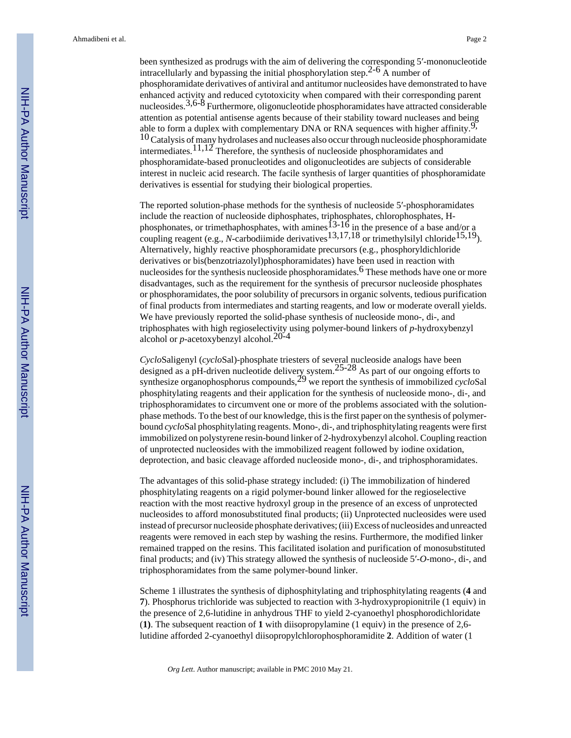been synthesized as prodrugs with the aim of delivering the corresponding 5′-mononucleotide intracellularly and bypassing the initial phosphorylation step.<sup>2-6</sup> A number of phosphoramidate derivatives of antiviral and antitumor nucleosides have demonstrated to have enhanced activity and reduced cytotoxicity when compared with their corresponding parent nucleosides.<sup>3,6-8</sup> Furthermore, oligonucleotide phosphoramidates have attracted considerable attention as potential antisense agents because of their stability toward nucleases and being able to form a duplex with complementary DNA or RNA sequences with higher affinity.<sup>9</sup>,  $10$  Catalysis of many hydrolases and nucleases also occur through nucleoside phosphoramidate intermediates.<sup>11,12</sup> Therefore, the synthesis of nucleoside phosphoramidates and phosphoramidate-based pronucleotides and oligonucleotides are subjects of considerable interest in nucleic acid research. The facile synthesis of larger quantities of phosphoramidate derivatives is essential for studying their biological properties.

The reported solution-phase methods for the synthesis of nucleoside 5′-phosphoramidates include the reaction of nucleoside diphosphates, triphosphates, chlorophosphates, Hphosphonates, or trimethaphosphates, with amines  $13-16$  in the presence of a base and/or a coupling reagent (e.g., *N*-carbodiimide derivatives<sup>13,17,18</sup> or trimethylsilyl chloride<sup>15,19</sup>). Alternatively, highly reactive phosphoramidate precursors (e.g., phosphoryldichloride derivatives or bis(benzotriazolyl)phosphoramidates) have been used in reaction with nucleosides for the synthesis nucleoside phosphoramidates.<sup>6</sup> These methods have one or more disadvantages, such as the requirement for the synthesis of precursor nucleoside phosphates or phosphoramidates, the poor solubility of precursors in organic solvents, tedious purification of final products from intermediates and starting reagents, and low or moderate overall yields. We have previously reported the solid-phase synthesis of nucleoside mono-, di-, and triphosphates with high regioselectivity using polymer-bound linkers of *p*-hydroxybenzyl alcohol or *p*-acetoxybenzyl alcohol.20-4

*Cyclo*Saligenyl (*cyclo*Sal)-phosphate triesters of several nucleoside analogs have been designed as a pH-driven nucleotide delivery system.25-28 As part of our ongoing efforts to synthesize organophosphorus compounds,<sup>29</sup> we report the synthesis of immobilized *cycloSal* phosphitylating reagents and their application for the synthesis of nucleoside mono-, di-, and triphosphoramidates to circumvent one or more of the problems associated with the solutionphase methods. To the best of our knowledge, this is the first paper on the synthesis of polymerbound *cyclo*Sal phosphitylating reagents. Mono-, di-, and triphosphitylating reagents were first immobilized on polystyrene resin-bound linker of 2-hydroxybenzyl alcohol. Coupling reaction of unprotected nucleosides with the immobilized reagent followed by iodine oxidation, deprotection, and basic cleavage afforded nucleoside mono-, di-, and triphosphoramidates.

The advantages of this solid-phase strategy included: (i) The immobilization of hindered phosphitylating reagents on a rigid polymer-bound linker allowed for the regioselective reaction with the most reactive hydroxyl group in the presence of an excess of unprotected nucleosides to afford monosubstituted final products; (ii) Unprotected nucleosides were used instead of precursor nucleoside phosphate derivatives; (iii) Excess of nucleosides and unreacted reagents were removed in each step by washing the resins. Furthermore, the modified linker remained trapped on the resins. This facilitated isolation and purification of monosubstituted final products; and (iv) This strategy allowed the synthesis of nucleoside 5′-*O*-mono-, di-, and triphosphoramidates from the same polymer-bound linker.

Scheme 1 illustrates the synthesis of diphosphitylating and triphosphitylating reagents (**4** and **7**). Phosphorus trichloride was subjected to reaction with 3-hydroxypropionitrile (1 equiv) in the presence of 2,6-lutidine in anhydrous THF to yield 2-cyanoethyl phosphorodichloridate (**1)**. The subsequent reaction of **1** with diisopropylamine (1 equiv) in the presence of 2,6 lutidine afforded 2-cyanoethyl diisopropylchlorophosphoramidite **2**. Addition of water (1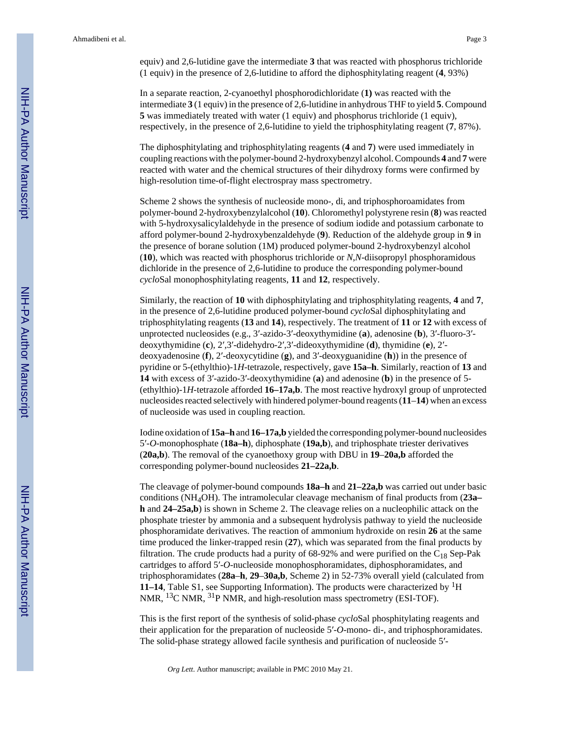equiv) and 2,6-lutidine gave the intermediate **3** that was reacted with phosphorus trichloride (1 equiv) in the presence of 2,6-lutidine to afford the diphosphitylating reagent (**4**, 93%)

In a separate reaction, 2-cyanoethyl phosphorodichloridate (**1)** was reacted with the intermediate **3** (1 equiv) in the presence of 2,6-lutidine in anhydrous THF to yield **5**. Compound **5** was immediately treated with water (1 equiv) and phosphorus trichloride (1 equiv), respectively, in the presence of 2,6-lutidine to yield the triphosphitylating reagent (**7**, 87%).

The diphosphitylating and triphosphitylating reagents (**4** and **7**) were used immediately in coupling reactions with the polymer-bound 2-hydroxybenzyl alcohol. Compounds **4** and **7** were reacted with water and the chemical structures of their dihydroxy forms were confirmed by high-resolution time-of-flight electrospray mass spectrometry.

Scheme 2 shows the synthesis of nucleoside mono-, di, and triphosphoroamidates from polymer-bound 2-hydroxybenzylalcohol (**10**). Chloromethyl polystyrene resin (**8**) was reacted with 5-hydroxysalicylaldehyde in the presence of sodium iodide and potassium carbonate to afford polymer-bound 2-hydroxybenzaldehyde (**9**). Reduction of the aldehyde group in **9** in the presence of borane solution (1M) produced polymer-bound 2-hydroxybenzyl alcohol (**10**), which was reacted with phosphorus trichloride or *N*,*N*-diisopropyl phosphoramidous dichloride in the presence of 2,6-lutidine to produce the corresponding polymer-bound *cyclo*Sal monophosphitylating reagents, **11** and **12**, respectively.

Similarly, the reaction of **10** with diphosphitylating and triphosphitylating reagents, **4** and **7**, in the presence of 2,6-lutidine produced polymer-bound *cyclo*Sal diphosphitylating and triphosphitylating reagents (**13** and **14**), respectively. The treatment of **11** or **12** with excess of unprotected nucleosides (e.g., 3′-azido-3′-deoxythymidine (**a**), adenosine (**b**), 3′-fluoro-3′ deoxythymidine (**c**), 2′,3′-didehydro-2′,3′-dideoxythymidine (**d**), thymidine (**e**), 2′ deoxyadenosine (**f**), 2′-deoxycytidine (**g**), and 3′-deoxyguanidine (**h**)) in the presence of pyridine or 5-(ethylthio)-1*H*-tetrazole, respectively, gave **15a–h**. Similarly, reaction of **13** and **14** with excess of 3′-azido-3′-deoxythymidine (**a**) and adenosine (**b**) in the presence of 5- (ethylthio)-1*H-*tetrazole afforded **16–17a,b**. The most reactive hydroxyl group of unprotected nucleosides reacted selectively with hindered polymer-bound reagents (**11**–**14**) when an excess of nucleoside was used in coupling reaction.

Iodine oxidation of **15a–h** and **16–17a,b** yielded the corresponding polymer-bound nucleosides 5′-*O*-monophosphate (**18a–h**), diphosphate (**19a,b**), and triphosphate triester derivatives (**20a,b**). The removal of the cyanoethoxy group with DBU in **19**–**20a,b** afforded the corresponding polymer-bound nucleosides **21–22a,b**.

The cleavage of polymer-bound compounds **18a–h** and **21–22a,b** was carried out under basic conditions (NH4OH). The intramolecular cleavage mechanism of final products from (**23a– h** and **24–25a,b**) is shown in Scheme 2. The cleavage relies on a nucleophilic attack on the phosphate triester by ammonia and a subsequent hydrolysis pathway to yield the nucleoside phosphoramidate derivatives. The reaction of ammonium hydroxide on resin **26** at the same time produced the linker-trapped resin (**27**), which was separated from the final products by filtration. The crude products had a purity of  $68-92\%$  and were purified on the C<sub>18</sub> Sep-Pak cartridges to afford 5′-*O*-nucleoside monophosphoramidates, diphosphoramidates, and triphosphoramidates (**28a**–**h**, **29**–**30a,b**, Scheme 2) in 52-73% overall yield (calculated from **11–14**, Table S1, see Supporting Information). The products were characterized by 1H NMR, 13C NMR, 31P NMR, and high-resolution mass spectrometry (ESI-TOF).

This is the first report of the synthesis of solid-phase *cyclo*Sal phosphitylating reagents and their application for the preparation of nucleoside 5′-*O*-mono- di-, and triphosphoramidates. The solid-phase strategy allowed facile synthesis and purification of nucleoside 5′-

*Org Lett*. Author manuscript; available in PMC 2010 May 21.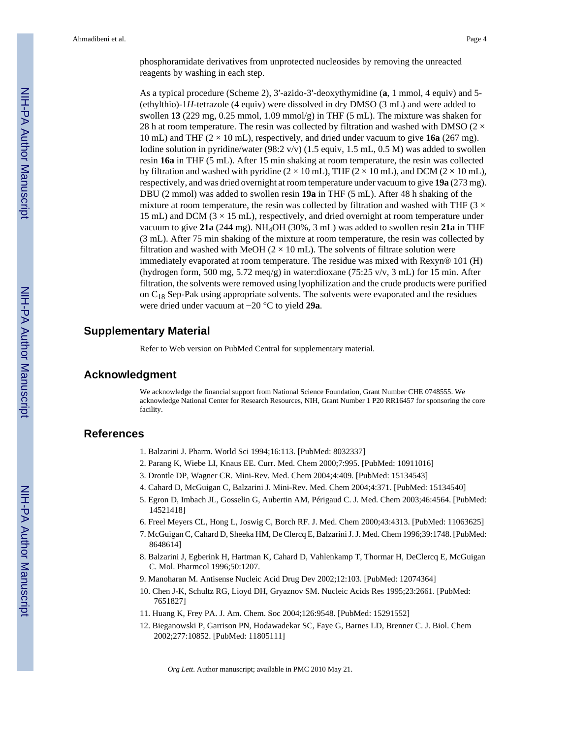phosphoramidate derivatives from unprotected nucleosides by removing the unreacted reagents by washing in each step.

As a typical procedure (Scheme 2), 3′-azido-3′-deoxythymidine (**a**, 1 mmol, 4 equiv) and 5- (ethylthio)-1*H*-tetrazole (4 equiv) were dissolved in dry DMSO (3 mL) and were added to swollen **13** (229 mg, 0.25 mmol, 1.09 mmol/g) in THF (5 mL). The mixture was shaken for 28 h at room temperature. The resin was collected by filtration and washed with DMSO ( $2 \times$ 10 mL) and THF (2 × 10 mL), respectively, and dried under vacuum to give **16a** (267 mg). Iodine solution in pyridine/water  $(98.2 \text{ v/v})$  (1.5 equiv, 1.5 mL, 0.5 M) was added to swollen resin **16a** in THF (5 mL). After 15 min shaking at room temperature, the resin was collected by filtration and washed with pyridine  $(2 \times 10 \text{ mL})$ , THF  $(2 \times 10 \text{ mL})$ , and DCM  $(2 \times 10 \text{ mL})$ , respectively, and was dried overnight at room temperature under vacuum to give **19a** (273 mg). DBU (2 mmol) was added to swollen resin **19a** in THF (5 mL). After 48 h shaking of the mixture at room temperature, the resin was collected by filtration and washed with THF ( $3 \times$ 15 mL) and DCM  $(3 \times 15 \text{ mL})$ , respectively, and dried overnight at room temperature under vacuum to give **21a** (244 mg). NH4OH (30%, 3 mL) was added to swollen resin **21a** in THF (3 mL). After 75 min shaking of the mixture at room temperature, the resin was collected by filtration and washed with MeOH  $(2 \times 10 \text{ mL})$ . The solvents of filtrate solution were immediately evaporated at room temperature. The residue was mixed with Rexyn® 101 (H) (hydrogen form, 500 mg, 5.72 meq/g) in water:dioxane (75:25 v/v, 3 mL) for 15 min. After filtration, the solvents were removed using lyophilization and the crude products were purified on  $C_{18}$  Sep-Pak using appropriate solvents. The solvents were evaporated and the residues were dried under vacuum at −20 °C to yield **29a**.

#### **Supplementary Material**

Refer to Web version on PubMed Central for supplementary material.

### **Acknowledgment**

We acknowledge the financial support from National Science Foundation, Grant Number CHE 0748555. We acknowledge National Center for Research Resources, NIH, Grant Number 1 P20 RR16457 for sponsoring the core facility.

#### **References**

- 1. Balzarini J. Pharm. World Sci 1994;16:113. [PubMed: 8032337]
- 2. Parang K, Wiebe LI, Knaus EE. Curr. Med. Chem 2000;7:995. [PubMed: 10911016]
- 3. Drontle DP, Wagner CR. Mini-Rev. Med. Chem 2004;4:409. [PubMed: 15134543]
- 4. Cahard D, McGuigan C, Balzarini J. Mini-Rev. Med. Chem 2004;4:371. [PubMed: 15134540]
- 5. Egron D, Imbach JL, Gosselin G, Aubertin AM, Périgaud C. J. Med. Chem 2003;46:4564. [PubMed: 14521418]
- 6. Freel Meyers CL, Hong L, Joswig C, Borch RF. J. Med. Chem 2000;43:4313. [PubMed: 11063625]
- 7. McGuigan C, Cahard D, Sheeka HM, De Clercq E, Balzarini J. J. Med. Chem 1996;39:1748. [PubMed: 8648614]
- 8. Balzarini J, Egberink H, Hartman K, Cahard D, Vahlenkamp T, Thormar H, DeClercq E, McGuigan C. Mol. Pharmcol 1996;50:1207.
- 9. Manoharan M. Antisense Nucleic Acid Drug Dev 2002;12:103. [PubMed: 12074364]
- 10. Chen J-K, Schultz RG, Lioyd DH, Gryaznov SM. Nucleic Acids Res 1995;23:2661. [PubMed: 7651827]
- 11. Huang K, Frey PA. J. Am. Chem. Soc 2004;126:9548. [PubMed: 15291552]
- 12. Bieganowski P, Garrison PN, Hodawadekar SC, Faye G, Barnes LD, Brenner C. J. Biol. Chem 2002;277:10852. [PubMed: 11805111]

*Org Lett*. Author manuscript; available in PMC 2010 May 21.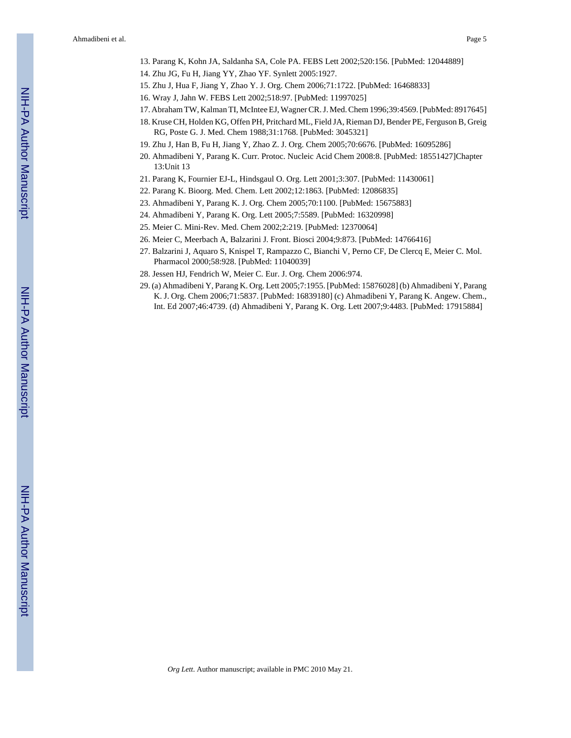- 13. Parang K, Kohn JA, Saldanha SA, Cole PA. FEBS Lett 2002;520:156. [PubMed: 12044889]
- 14. Zhu JG, Fu H, Jiang YY, Zhao YF. Synlett 2005:1927.
- 15. Zhu J, Hua F, Jiang Y, Zhao Y. J. Org. Chem 2006;71:1722. [PubMed: 16468833]
- 16. Wray J, Jahn W. FEBS Lett 2002;518:97. [PubMed: 11997025]
- 17. Abraham TW, Kalman TI, McIntee EJ, Wagner CR. J. Med. Chem 1996;39:4569. [PubMed: 8917645]
- 18. Kruse CH, Holden KG, Offen PH, Pritchard ML, Field JA, Rieman DJ, Bender PE, Ferguson B, Greig RG, Poste G. J. Med. Chem 1988;31:1768. [PubMed: 3045321]
- 19. Zhu J, Han B, Fu H, Jiang Y, Zhao Z. J. Org. Chem 2005;70:6676. [PubMed: 16095286]
- 20. Ahmadibeni Y, Parang K. Curr. Protoc. Nucleic Acid Chem 2008:8. [PubMed: 18551427]Chapter 13:Unit 13
- 21. Parang K, Fournier EJ-L, Hindsgaul O. Org. Lett 2001;3:307. [PubMed: 11430061]
- 22. Parang K. Bioorg. Med. Chem. Lett 2002;12:1863. [PubMed: 12086835]
- 23. Ahmadibeni Y, Parang K. J. Org. Chem 2005;70:1100. [PubMed: 15675883]
- 24. Ahmadibeni Y, Parang K. Org. Lett 2005;7:5589. [PubMed: 16320998]
- 25. Meier C. Mini-Rev. Med. Chem 2002;2:219. [PubMed: 12370064]
- 26. Meier C, Meerbach A, Balzarini J. Front. Biosci 2004;9:873. [PubMed: 14766416]
- 27. Balzarini J, Aquaro S, Knispel T, Rampazzo C, Bianchi V, Perno CF, De Clercq E, Meier C. Mol. Pharmacol 2000;58:928. [PubMed: 11040039]
- 28. Jessen HJ, Fendrich W, Meier C. Eur. J. Org. Chem 2006:974.
- 29. (a) Ahmadibeni Y, Parang K. Org. Lett 2005;7:1955. [PubMed: 15876028] (b) Ahmadibeni Y, Parang K. J. Org. Chem 2006;71:5837. [PubMed: 16839180] (c) Ahmadibeni Y, Parang K. Angew. Chem., Int. Ed 2007;46:4739. (d) Ahmadibeni Y, Parang K. Org. Lett 2007;9:4483. [PubMed: 17915884]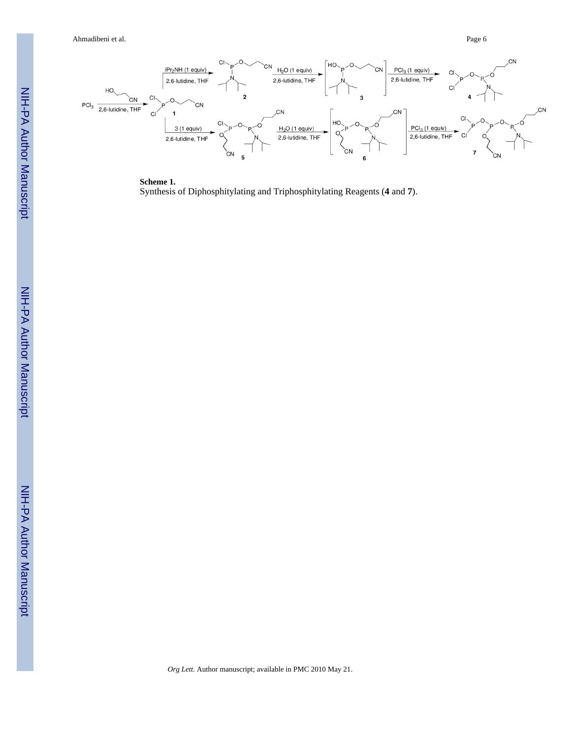Ahmadibeni et al. Page 6



**Scheme 1.** Synthesis of Diphosphitylating and Triphosphitylating Reagents ( **4** and **7**).

*Org Lett*. Author manuscript; available in PMC 2010 May 21.